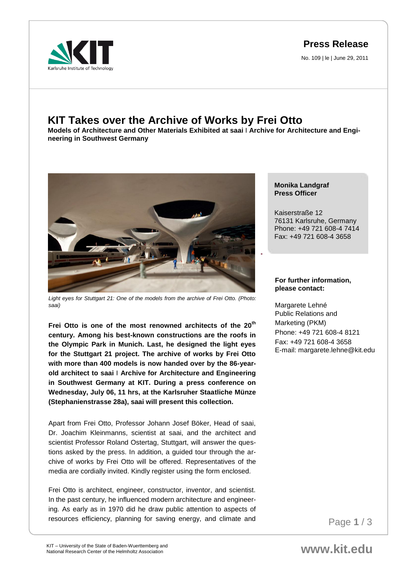**Press Release**

No. 109 | le | June 29, 2011



## **KIT Takes over the Archive of Works by Frei Otto**

**Models of Architecture and Other Materials Exhibited at saai** I **Archive for Architecture and Engineering in Southwest Germany**



*Light eyes for Stuttgart 21: One of the models from the archive of Frei Otto. (Photo: saai)*

**Frei Otto is one of the most renowned architects of the 20th century. Among his best-known constructions are the roofs in the Olympic Park in Munich. Last, he designed the light eyes for the Stuttgart 21 project. The archive of works by Frei Otto with more than 400 models is now handed over by the 86-yearold architect to saai** I **Archive for Architecture and Engineering in Southwest Germany at KIT. During a press conference on Wednesday, July 06, 11 hrs, at the Karlsruher Staatliche Münze (Stephanienstrasse 28a), saai will present this collection.** 

Apart from Frei Otto, Professor Johann Josef Böker, Head of saai, Dr. Joachim Kleinmanns, scientist at saai, and the architect and scientist Professor Roland Ostertag, Stuttgart, will answer the questions asked by the press. In addition, a guided tour through the archive of works by Frei Otto will be offered. Representatives of the media are cordially invited. Kindly register using the form enclosed.

resources efficiency, planning for saving energy, and climate and Frei Otto is architect, engineer, constructor, inventor, and scientist. In the past century, he influenced modern architecture and engineering. As early as in 1970 did he draw public attention to aspects of

**Monika Landgraf Press Officer**

Kaiserstraße 12 76131 Karlsruhe, Germany Phone: +49 721 608-4 7414 Fax: +49 721 608-4 3658

## **For further information, please contact:**

Margarete Lehné Public Relations and Marketing (PKM) Phone: +49 721 608-4 8121 Fax: +49 721 608-4 3658 E-mail: margarete.lehne@kit.edu

Page **1** / 3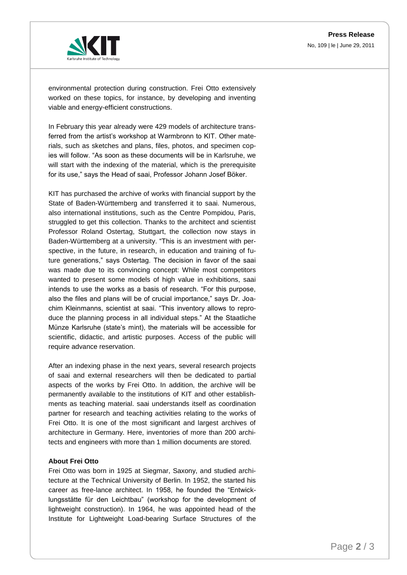

environmental protection during construction. Frei Otto extensively worked on these topics, for instance, by developing and inventing viable and energy-efficient constructions.

In February this year already were 429 models of architecture transferred from the artist's workshop at Warmbronn to KIT. Other materials, such as sketches and plans, files, photos, and specimen copies will follow. "As soon as these documents will be in Karlsruhe, we will start with the indexing of the material, which is the prerequisite for its use," says the Head of saai, Professor Johann Josef Böker.

KIT has purchased the archive of works with financial support by the State of Baden-Württemberg and transferred it to saai. Numerous, also international institutions, such as the Centre Pompidou, Paris, struggled to get this collection. Thanks to the architect and scientist Professor Roland Ostertag, Stuttgart, the collection now stays in Baden-Württemberg at a university. "This is an investment with perspective, in the future, in research, in education and training of future generations," says Ostertag. The decision in favor of the saai was made due to its convincing concept: While most competitors wanted to present some models of high value in exhibitions, saai intends to use the works as a basis of research. "For this purpose, also the files and plans will be of crucial importance," says Dr. Joachim Kleinmanns, scientist at saai. "This inventory allows to reproduce the planning process in all individual steps." At the Staatliche Münze Karlsruhe (state's mint), the materials will be accessible for scientific, didactic, and artistic purposes. Access of the public will require advance reservation.

After an indexing phase in the next years, several research projects of saai and external researchers will then be dedicated to partial aspects of the works by Frei Otto. In addition, the archive will be permanently available to the institutions of KIT and other establishments as teaching material. saai understands itself as coordination partner for research and teaching activities relating to the works of Frei Otto. It is one of the most significant and largest archives of architecture in Germany. Here, inventories of more than 200 architects and engineers with more than 1 million documents are stored.

## **About Frei Otto**

Frei Otto was born in 1925 at Siegmar, Saxony, and studied architecture at the Technical University of Berlin. In 1952, the started his career as free-lance architect. In 1958, he founded the "Entwicklungsstätte für den Leichtbau" (workshop for the development of lightweight construction). In 1964, he was appointed head of the Institute for Lightweight Load-bearing Surface Structures of the